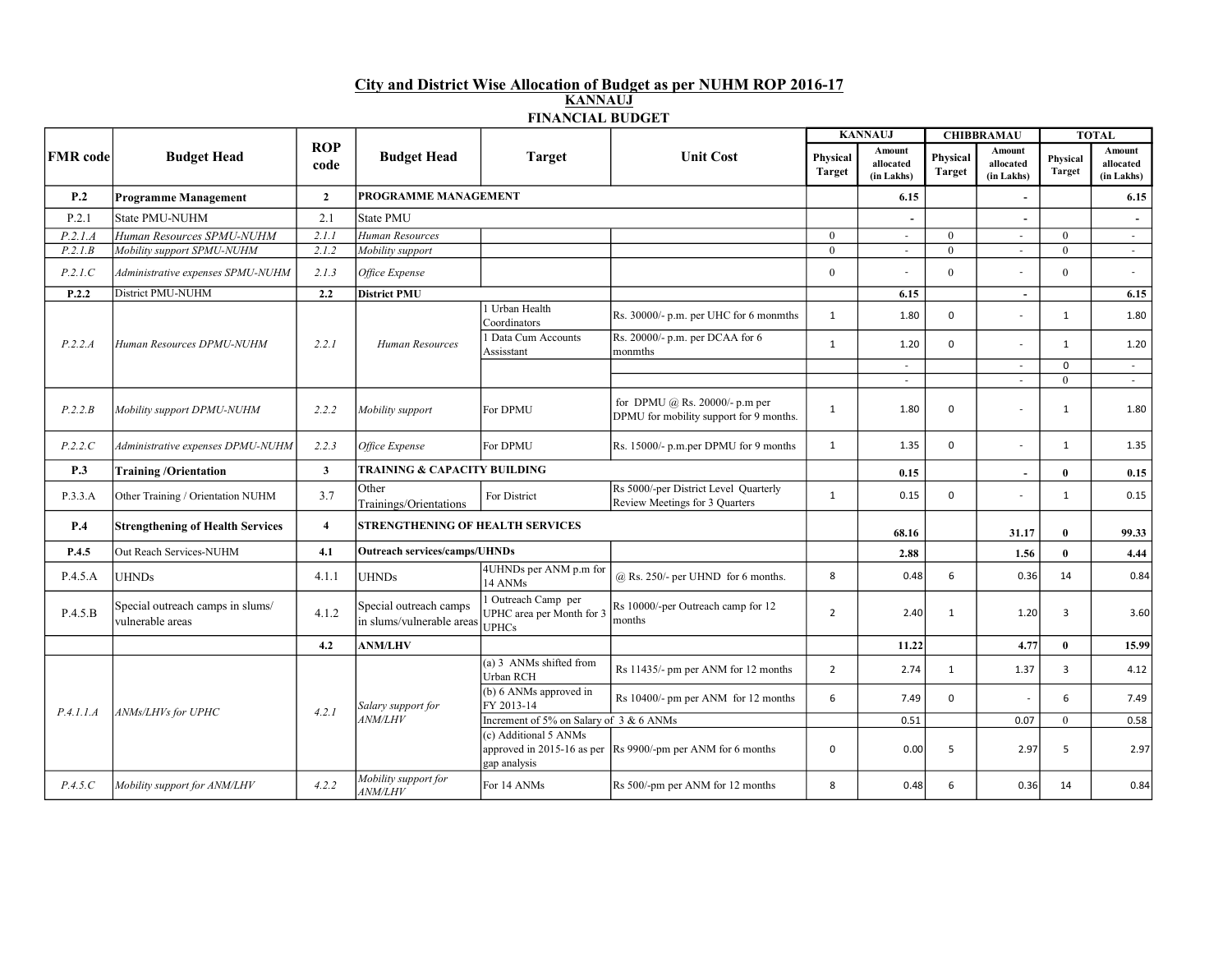## City and District Wise Allocation of Budget as per NUHM ROP 2016-17 KANNAUJ FINANCIAL BUDGET

| <b>FMR</b> code | <b>Budget Head</b>                                   | <b>ROP</b><br>code | <b>Budget Head</b>                                  | <b>Target</b>                                                    | <b>Unit Cost</b>                                                                     | <b>KANNAUJ</b>            |                                   | <b>CHIBBRAMAU</b>         |                                   | <b>TOTAL</b>              |                                   |
|-----------------|------------------------------------------------------|--------------------|-----------------------------------------------------|------------------------------------------------------------------|--------------------------------------------------------------------------------------|---------------------------|-----------------------------------|---------------------------|-----------------------------------|---------------------------|-----------------------------------|
|                 |                                                      |                    |                                                     |                                                                  |                                                                                      | Physical<br><b>Target</b> | Amount<br>allocated<br>(in Lakhs) | Physical<br><b>Target</b> | Amount<br>allocated<br>(in Lakhs) | Physical<br><b>Target</b> | Amount<br>allocated<br>(in Lakhs) |
| P.2             | <b>Programme Management</b>                          | $\overline{2}$     | PROGRAMME MANAGEMENT                                |                                                                  |                                                                                      |                           | 6.15                              |                           |                                   |                           | 6.15                              |
| P.2.1           | <b>State PMU-NUHM</b>                                | 2.1                | <b>State PMU</b>                                    |                                                                  |                                                                                      |                           | $\overline{\phantom{a}}$          |                           |                                   |                           |                                   |
| P.2.1.A         | Human Resources SPMU-NUHM                            | 2.1.1              | Human Resources                                     |                                                                  |                                                                                      | $\theta$                  | $\sim$                            | $\theta$                  | $\sim$                            | $\theta$                  | $\sim$                            |
| P.2.1.B         | Mobility support SPMU-NUHM                           | 2.1.2              | Mobility support                                    |                                                                  |                                                                                      | $\theta$                  | $\sim$                            | $\theta$                  | $\sim$                            | $\Omega$                  | $\sim$                            |
| P.2.1.C         | Administrative expenses SPMU-NUHM                    | 2.1.3              | Office Expense                                      |                                                                  |                                                                                      | $\mathbf{0}$              |                                   | $\mathbf{0}$              |                                   | $\Omega$                  |                                   |
| P.2.2           | District PMU-NUHM                                    | 2.2                | <b>District PMU</b>                                 |                                                                  |                                                                                      |                           | 6.15                              |                           | $\sim$                            |                           | 6.15                              |
|                 |                                                      |                    | Human Resources                                     | 1 Urban Health<br>Coordinators                                   | Rs. 30000/- p.m. per UHC for 6 monmths                                               | $\mathbf{1}$              | 1.80                              | $\mathbf 0$               |                                   | $\mathbf{1}$              | 1.80                              |
| P.2.2.A         | Human Resources DPMU-NUHM                            | 2.2.1              |                                                     | Data Cum Accounts<br>Assisstant                                  | Rs. 20000/- p.m. per DCAA for 6<br>monmths                                           | $\mathbf{1}$              | 1.20                              | $\mathbf 0$               |                                   | $\mathbf{1}$              | 1.20                              |
|                 |                                                      |                    |                                                     |                                                                  |                                                                                      |                           | $\sim$                            |                           | $\sim$                            | $\mathbf 0$               | $\sim$                            |
|                 |                                                      |                    |                                                     |                                                                  |                                                                                      |                           | $\sim$                            |                           | $\sim$                            | $\mathbf{0}$              | $\sim$                            |
| P.2.2.B         | Mobility support DPMU-NUHM                           | 2.2.2              | Mobility support                                    | For DPMU                                                         | for DPMU $(a)$ Rs. 20000/- p.m per<br>DPMU for mobility support for 9 months.        | $\mathbf{1}$              | 1.80                              | $\mathbf 0$               |                                   | $\mathbf{1}$              | 1.80                              |
| P.2.2.C         | Administrative expenses DPMU-NUHM                    | 2.2.3              | Office Expense                                      | For DPMU                                                         | Rs. 15000/- p.m.per DPMU for 9 months                                                | $\mathbf{1}$              | 1.35                              | $\mathbf 0$               |                                   | $\mathbf{1}$              | 1.35                              |
| P.3             | <b>Training /Orientation</b>                         | $\mathbf{3}$       |                                                     | <b>TRAINING &amp; CAPACITY BUILDING</b>                          |                                                                                      |                           |                                   |                           | $\overline{\phantom{a}}$          | $\bf{0}$                  | 0.15                              |
| P.3.3.A         | Other Training / Orientation NUHM                    | 3.7                | Other<br>Trainings/Orientations                     | For District                                                     | Rs 5000/-per District Level Quarterly<br>Review Meetings for 3 Quarters              | $\mathbf{1}$              | 0.15                              | $\mathbf 0$               |                                   | $\mathbf{1}$              | 0.15                              |
| P.4             | <b>Strengthening of Health Services</b>              | $\overline{4}$     | STRENGTHENING OF HEALTH SERVICES                    |                                                                  |                                                                                      |                           | 68.16                             |                           | 31.17                             | $\bf{0}$                  | 99.33                             |
| P.4.5           | Out Reach Services-NUHM                              | 4.1                | <b>Outreach services/camps/UHNDs</b>                |                                                                  |                                                                                      | 2.88                      |                                   | 1.56                      | $\bf{0}$                          | 4.44                      |                                   |
| P.4.5.A         | <b>UHNDs</b>                                         | 4.1.1              | <b>UHNDs</b>                                        | 4UHNDs per ANM p.m for<br>14 ANMs                                | $@$ Rs. 250/- per UHND for 6 months.                                                 | 8                         | 0.48                              | 6                         | 0.36                              | 14                        | 0.84                              |
| P.4.5.B         | Special outreach camps in slums/<br>vulnerable areas | 4.1.2              | Special outreach camps<br>in slums/vulnerable areas | 1 Outreach Camp per<br>UPHC area per Month for 3<br><b>UPHCs</b> | Rs 10000/-per Outreach camp for 12<br>months                                         | $\overline{2}$            | 2.40                              | $\mathbf{1}$              | 1.20                              | 3                         | 3.60                              |
|                 |                                                      | 4.2                | <b>ANM/LHV</b>                                      |                                                                  |                                                                                      |                           | 11.22                             |                           | 4.77                              | $\bf{0}$                  | 15.99                             |
| P.4.1.1.A       | ANMs/LHVs for UPHC                                   | 4.2.1              | Salary support for<br><b>ANM/LHV</b>                | $(a)$ 3 ANMs shifted from<br>Urban RCH                           | Rs 11435/- pm per ANM for 12 months                                                  | $\overline{2}$            | 2.74                              | $\mathbf{1}$              | 1.37                              | 3                         | 4.12                              |
|                 |                                                      |                    |                                                     | (b) 6 ANMs approved in<br>FY 2013-14                             | Rs 10400/- pm per ANM for 12 months                                                  | 6                         | 7.49                              | $\mathbf 0$               |                                   | 6                         | 7.49                              |
|                 |                                                      |                    |                                                     | Increment of 5% on Salary of 3 & 6 ANMs                          |                                                                                      |                           | 0.51                              |                           | 0.07                              | $\Omega$                  | 0.58                              |
|                 |                                                      |                    |                                                     | (c) Additional 5 ANMs<br>gap analysis                            | approved in 2015-16 as per $\left  \text{Rs } 9900 \right $ -pm per ANM for 6 months | $\mathbf 0$               | 0.00                              | 5                         | 2.97                              | 5                         | 2.97                              |
| P.4.5.C         | Mobility support for ANM/LHV                         | 4.2.2              | Mobility support for<br><b>ANM/LHV</b>              | For 14 ANMs                                                      | Rs 500/-pm per ANM for 12 months                                                     | 8                         | 0.48                              | 6                         | 0.36                              | 14                        | 0.84                              |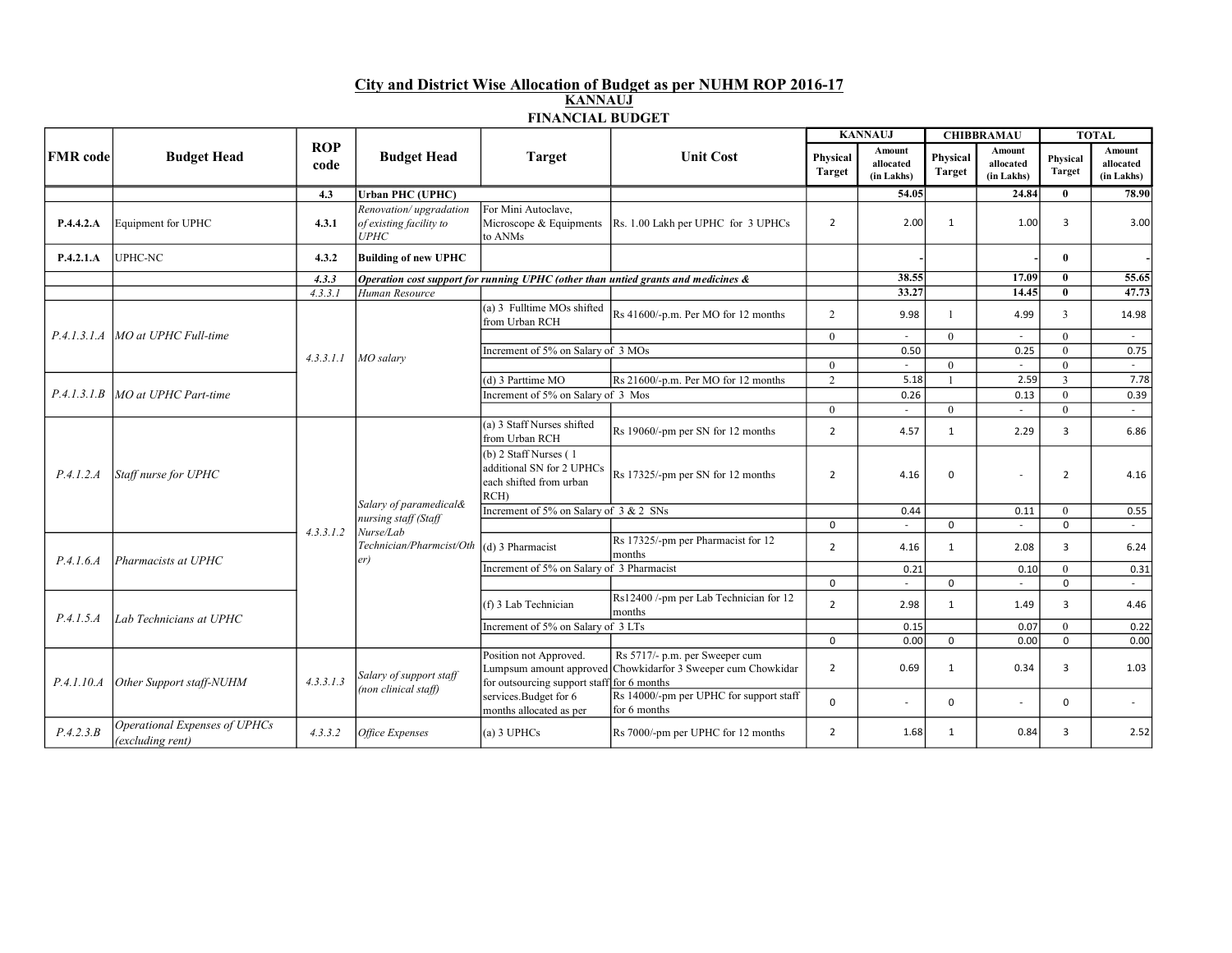## City and District Wise Allocation of Budget as per NUHM ROP 2016-17 KANNAUJ FINANCIAL BUDGET

| <b>FMR</b> code | <b>Budget Head</b>                                | <b>ROP</b><br>code | <b>Budget Head</b>                                                                             | <b>Target</b>                                                                              | <b>Unit Cost</b>                                                                               | <b>KANNAUJ</b>            |                                   | <b>CHIBBRAMAU</b>         |                                   | <b>TOTAL</b>              |                                   |
|-----------------|---------------------------------------------------|--------------------|------------------------------------------------------------------------------------------------|--------------------------------------------------------------------------------------------|------------------------------------------------------------------------------------------------|---------------------------|-----------------------------------|---------------------------|-----------------------------------|---------------------------|-----------------------------------|
|                 |                                                   |                    |                                                                                                |                                                                                            |                                                                                                | Physical<br><b>Target</b> | Amount<br>allocated<br>(in Lakhs) | Physical<br><b>Target</b> | Amount<br>allocated<br>(in Lakhs) | Physical<br><b>Target</b> | Amount<br>allocated<br>(in Lakhs) |
|                 |                                                   | 4.3                | <b>Urban PHC (UPHC)</b>                                                                        |                                                                                            |                                                                                                |                           | 54.05                             |                           | 24.84                             | $\bf{0}$                  | 78.90                             |
| P.4.4.2.A       | Equipment for UPHC                                | 4.3.1              | Renovation/upgradation<br>of existing facility to<br>UPHC                                      | For Mini Autoclave,<br>Microscope & Equipments<br>to ANMs                                  | Rs. 1.00 Lakh per UPHC for 3 UPHCs                                                             | $\overline{2}$            | 2.00                              | $\mathbf{1}$              | 1.00                              | 3                         | 3.00                              |
| P.4.2.1.A       | UPHC-NC                                           | 4.3.2              | <b>Building of new UPHC</b>                                                                    |                                                                                            |                                                                                                |                           |                                   |                           |                                   | $\mathbf{0}$              |                                   |
|                 |                                                   | 4.3.3              |                                                                                                |                                                                                            | Operation cost support for running UPHC (other than untied grants and medicines &              |                           | 38.55                             |                           | 17.09                             | $\mathbf{0}$              | 55.65                             |
|                 |                                                   | 4.3.3.1            | Human Resource                                                                                 |                                                                                            |                                                                                                |                           | 33.27                             |                           | 14.45                             | $\mathbf{0}$              | 47.73                             |
|                 |                                                   |                    | MO salary                                                                                      | (a) 3 Fulltime MOs shifted<br>from Urban RCH                                               | Rs 41600/-p.m. Per MO for 12 months                                                            | 2                         | 9.98                              | $\overline{1}$            | 4.99                              | 3                         | 14.98                             |
| P.4.1.3.1.A     | MO at UPHC Full-time                              |                    |                                                                                                |                                                                                            |                                                                                                | $\theta$                  | $\sim$                            | $\theta$                  |                                   | $\Omega$                  | $\sim$                            |
|                 |                                                   | 4.3.3.1.1          |                                                                                                | Increment of 5% on Salary of 3 MOs                                                         |                                                                                                |                           | 0.50                              |                           | 0.25                              | $\theta$                  | 0.75                              |
|                 |                                                   |                    |                                                                                                |                                                                                            |                                                                                                | $\theta$                  |                                   | $\Omega$                  |                                   | $\Omega$                  | $\sim$                            |
|                 | MO at UPHC Part-time                              |                    |                                                                                                | (d) 3 Parttime MO                                                                          | Rs 21600/-p.m. Per MO for 12 months                                                            | $\overline{2}$            | 5.18                              | $\overline{1}$            | 2.59                              | $\overline{3}$            | 7.78                              |
| P.4.1.3.1.B     |                                                   |                    |                                                                                                | Increment of 5% on Salary of 3 Mos                                                         |                                                                                                |                           | 0.26                              |                           | 0.13                              | $\theta$                  | 0.39                              |
|                 |                                                   |                    |                                                                                                | (a) 3 Staff Nurses shifted                                                                 |                                                                                                | $\theta$                  | $\sim$                            | $\theta$                  |                                   | $\Omega$                  | $\sim$                            |
|                 | Staff nurse for UPHC                              | 4.3.3.1.2          | Salary of paramedical&<br>nursing staff (Staff<br>Nurse/Lab<br>Technician/Pharmcist/Oth<br>er) | from Urban RCH                                                                             | Rs 19060/-pm per SN for 12 months                                                              | $\overline{2}$            | 4.57                              | $\mathbf{1}$              | 2.29                              | 3                         | 6.86                              |
| P.4.1.2.A       |                                                   |                    |                                                                                                | $(b)$ 2 Staff Nurses $(1)$<br>additional SN for 2 UPHCs<br>each shifted from urban<br>RCH) | Rs 17325/-pm per SN for 12 months                                                              | $\overline{2}$            | 4.16                              | $\mathbf 0$               |                                   | $\overline{2}$            | 4.16                              |
|                 |                                                   |                    |                                                                                                | Increment of 5% on Salary of 3 & 2 SNs                                                     |                                                                                                |                           | 0.44                              |                           | 0.11                              | $\theta$                  | 0.55                              |
|                 |                                                   |                    |                                                                                                |                                                                                            |                                                                                                | $\Omega$                  | $\sim$                            | $\Omega$                  |                                   | $\Omega$                  | $\sim$                            |
| P.4.1.6.4       | Pharmacists at UPHC                               |                    |                                                                                                | (d) 3 Pharmacist                                                                           | Rs 17325/-pm per Pharmacist for 12<br>months                                                   | $\overline{2}$            | 4.16                              | $\mathbf{1}$              | 2.08                              | 3                         | 6.24                              |
|                 |                                                   |                    |                                                                                                | Increment of 5% on Salary of 3 Pharmacist                                                  |                                                                                                |                           | 0.21                              |                           | 0.10                              | $\theta$                  | 0.31                              |
|                 |                                                   |                    |                                                                                                |                                                                                            |                                                                                                | $\Omega$                  | $\sim$                            | $\Omega$                  |                                   | $\Omega$                  | $\sim$                            |
| P.4.1.5.4       | Lab Technicians at UPHC                           |                    |                                                                                                | (f) 3 Lab Technician                                                                       | Rs12400 /-pm per Lab Technician for 12<br>months                                               | $\overline{2}$            | 2.98                              | $\mathbf{1}$              | 1.49                              | $\overline{3}$            | 4.46                              |
|                 |                                                   |                    |                                                                                                | Increment of 5% on Salary of 3 LTs                                                         |                                                                                                |                           | 0.15                              |                           | 0.07                              | $\theta$                  | 0.22                              |
|                 |                                                   |                    |                                                                                                |                                                                                            |                                                                                                | $\mathbf 0$               | 0.00                              | $\mathbf 0$               | 0.00                              | $\mathbf 0$               | 0.00                              |
| P.4.1.10.4      | Other Support staff-NUHM                          | 4.3.3.1.3          | Salary of support staff<br>(non clinical staff)                                                | Position not Approved.<br>for outsourcing support staff for 6 months                       | Rs 5717/- p.m. per Sweeper cum<br>Lumpsum amount approved Chowkidarfor 3 Sweeper cum Chowkidar | $\overline{2}$            | 0.69                              | $\mathbf{1}$              | 0.34                              | 3                         | 1.03                              |
|                 |                                                   |                    |                                                                                                | services.Budget for 6<br>months allocated as per                                           | Rs 14000/-pm per UPHC for support staff<br>for 6 months                                        | $\mathbf 0$               | $\sim$                            | $\mathbf 0$               |                                   | $\Omega$                  | $\sim$                            |
| P.4.2.3.B       | Operational Expenses of UPHCs<br>(excluding rent) | 4.3.3.2            | <b>Office Expenses</b>                                                                         | (a) 3 UPHCs                                                                                | Rs 7000/-pm per UPHC for 12 months                                                             | $\overline{2}$            | 1.68                              | 1                         | 0.84                              | 3                         | 2.52                              |